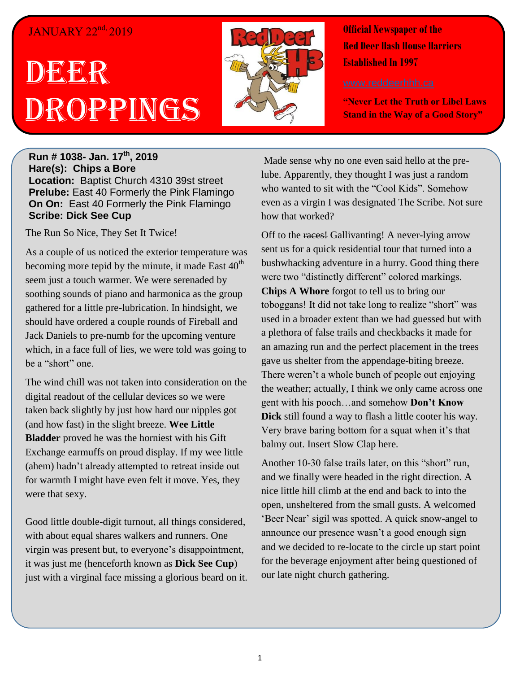## JANUARY 22<sup>nd,</sup> 2019

## DEER Droppings



**Official Newspaper of the Red Deer Hash House Harriers Established In 1997** 

**"Never Let the Truth or Libel Laws Stand in the Way of a Good Story"**

**Run # 1038- Jan. 17th, 2019 Hare(s): Chips a Bore Location:** Baptist Church 4310 39st street **Prelube:** East 40 Formerly the Pink Flamingo **On On:** East 40 Formerly the Pink Flamingo **Scribe: Dick See Cup**

The Run So Nice, They Set It Twice!

As a couple of us noticed the exterior temperature was becoming more tepid by the minute, it made East  $40<sup>th</sup>$ seem just a touch warmer. We were serenaded by soothing sounds of piano and harmonica as the group gathered for a little pre-lubrication. In hindsight, we should have ordered a couple rounds of Fireball and Jack Daniels to pre-numb for the upcoming venture which, in a face full of lies, we were told was going to be a "short" one.

The wind chill was not taken into consideration on the digital readout of the cellular devices so we were taken back slightly by just how hard our nipples got (and how fast) in the slight breeze. **Wee Little Bladder** proved he was the horniest with his Gift Exchange earmuffs on proud display. If my wee little (ahem) hadn't already attempted to retreat inside out for warmth I might have even felt it move. Yes, they were that sexy.

Good little double-digit turnout, all things considered, with about equal shares walkers and runners. One virgin was present but, to everyone's disappointment, it was just me (henceforth known as **Dick See Cup**) just with a virginal face missing a glorious beard on it.

Made sense why no one even said hello at the prelube. Apparently, they thought I was just a random who wanted to sit with the "Cool Kids". Somehow even as a virgin I was designated The Scribe. Not sure how that worked?

Off to the races! Gallivanting! A never-lying arrow sent us for a quick residential tour that turned into a bushwhacking adventure in a hurry. Good thing there were two "distinctly different" colored markings. **Chips A Whore** forgot to tell us to bring our toboggans! It did not take long to realize "short" was used in a broader extent than we had guessed but with a plethora of false trails and checkbacks it made for an amazing run and the perfect placement in the trees gave us shelter from the appendage-biting breeze. There weren't a whole bunch of people out enjoying the weather; actually, I think we only came across one gent with his pooch…and somehow **Don't Know Dick** still found a way to flash a little cooter his way. Very brave baring bottom for a squat when it's that balmy out. Insert Slow Clap here.

Another 10-30 false trails later, on this "short" run, and we finally were headed in the right direction. A nice little hill climb at the end and back to into the open, unsheltered from the small gusts. A welcomed 'Beer Near' sigil was spotted. A quick snow-angel to announce our presence wasn't a good enough sign and we decided to re-locate to the circle up start point for the beverage enjoyment after being questioned of our late night church gathering.